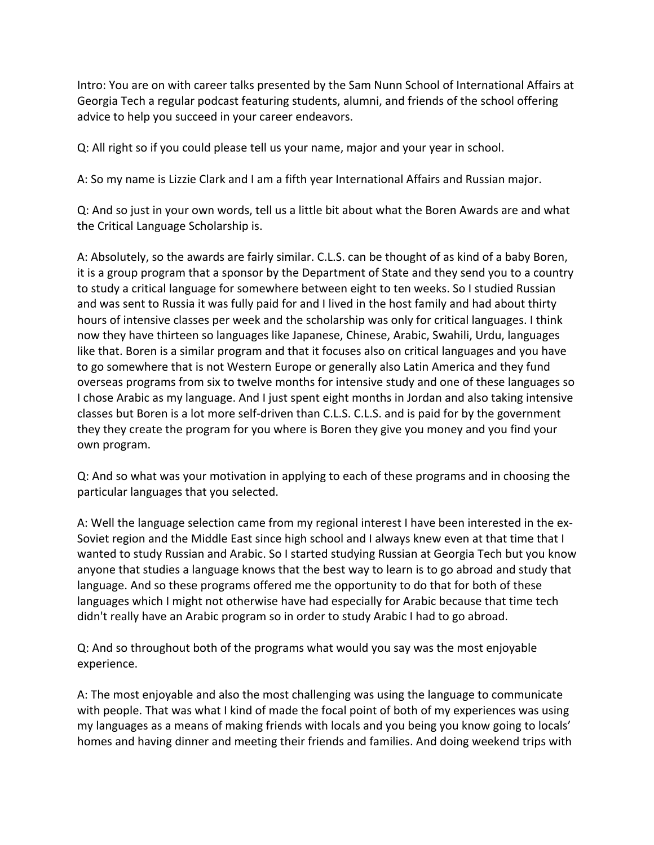Intro: You are on with career talks presented by the Sam Nunn School of International Affairs at Georgia Tech a regular podcast featuring students, alumni, and friends of the school offering advice to help you succeed in your career endeavors.

Q: All right so if you could please tell us your name, major and your year in school.

A: So my name is Lizzie Clark and I am a fifth year International Affairs and Russian major.

Q: And so just in your own words, tell us a little bit about what the Boren Awards are and what the Critical Language Scholarship is.

A: Absolutely, so the awards are fairly similar. C.L.S. can be thought of as kind of a baby Boren, it is a group program that a sponsor by the Department of State and they send you to a country to study a critical language for somewhere between eight to ten weeks. So I studied Russian and was sent to Russia it was fully paid for and I lived in the host family and had about thirty hours of intensive classes per week and the scholarship was only for critical languages. I think now they have thirteen so languages like Japanese, Chinese, Arabic, Swahili, Urdu, languages like that. Boren is a similar program and that it focuses also on critical languages and you have to go somewhere that is not Western Europe or generally also Latin America and they fund overseas programs from six to twelve months for intensive study and one of these languages so I chose Arabic as my language. And I just spent eight months in Jordan and also taking intensive classes but Boren is a lot more self-driven than C.L.S. C.L.S. and is paid for by the government they they create the program for you where is Boren they give you money and you find your own program.

Q: And so what was your motivation in applying to each of these programs and in choosing the particular languages that you selected.

A: Well the language selection came from my regional interest I have been interested in the ex-Soviet region and the Middle East since high school and I always knew even at that time that I wanted to study Russian and Arabic. So I started studying Russian at Georgia Tech but you know anyone that studies a language knows that the best way to learn is to go abroad and study that language. And so these programs offered me the opportunity to do that for both of these languages which I might not otherwise have had especially for Arabic because that time tech didn't really have an Arabic program so in order to study Arabic I had to go abroad.

Q: And so throughout both of the programs what would you say was the most enjoyable experience. 

A: The most enjoyable and also the most challenging was using the language to communicate with people. That was what I kind of made the focal point of both of my experiences was using my languages as a means of making friends with locals and you being you know going to locals' homes and having dinner and meeting their friends and families. And doing weekend trips with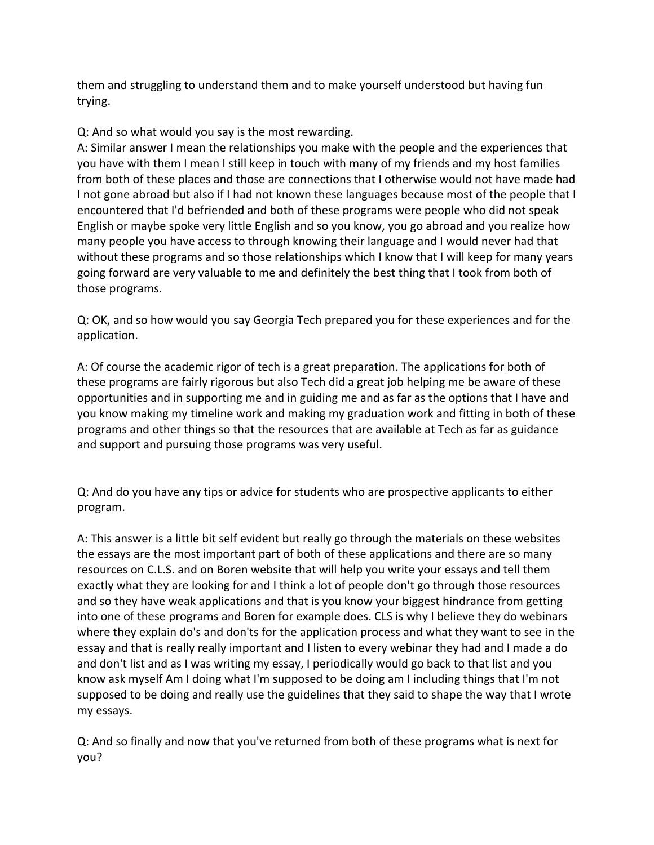them and struggling to understand them and to make yourself understood but having fun trying.

## Q: And so what would you say is the most rewarding.

A: Similar answer I mean the relationships you make with the people and the experiences that you have with them I mean I still keep in touch with many of my friends and my host families from both of these places and those are connections that I otherwise would not have made had I not gone abroad but also if I had not known these languages because most of the people that I encountered that I'd befriended and both of these programs were people who did not speak English or maybe spoke very little English and so you know, you go abroad and you realize how many people you have access to through knowing their language and I would never had that without these programs and so those relationships which I know that I will keep for many years going forward are very valuable to me and definitely the best thing that I took from both of those programs.

Q: OK, and so how would you say Georgia Tech prepared you for these experiences and for the application. 

A: Of course the academic rigor of tech is a great preparation. The applications for both of these programs are fairly rigorous but also Tech did a great job helping me be aware of these opportunities and in supporting me and in guiding me and as far as the options that I have and you know making my timeline work and making my graduation work and fitting in both of these programs and other things so that the resources that are available at Tech as far as guidance and support and pursuing those programs was very useful.

Q: And do you have any tips or advice for students who are prospective applicants to either program. 

A: This answer is a little bit self evident but really go through the materials on these websites the essays are the most important part of both of these applications and there are so many resources on C.L.S. and on Boren website that will help you write your essays and tell them exactly what they are looking for and I think a lot of people don't go through those resources and so they have weak applications and that is you know your biggest hindrance from getting into one of these programs and Boren for example does. CLS is why I believe they do webinars where they explain do's and don'ts for the application process and what they want to see in the essay and that is really really important and I listen to every webinar they had and I made a do and don't list and as I was writing my essay, I periodically would go back to that list and you know ask myself Am I doing what I'm supposed to be doing am I including things that I'm not supposed to be doing and really use the guidelines that they said to shape the way that I wrote my essays.

Q: And so finally and now that you've returned from both of these programs what is next for you?